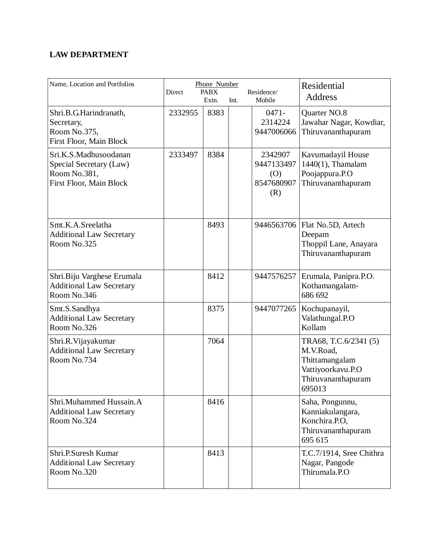## **LAW DEPARTMENT**

| Name, Location and Portfolios                                                               | Direct  | Phone Number<br><b>PABX</b><br>Extn. | Int. | Residence/<br>Mobile                              | Residential<br><b>Address</b>                                                                             |
|---------------------------------------------------------------------------------------------|---------|--------------------------------------|------|---------------------------------------------------|-----------------------------------------------------------------------------------------------------------|
| Shri.B.G.Harindranath,<br>Secretary,<br>Room No.375,<br>First Floor, Main Block             | 2332955 | 8383                                 |      | $0471 -$<br>2314224<br>9447006066                 | Quarter NO.8<br>Jawahar Nagar, Kowdiar,<br>Thiruvananthapuram                                             |
| Sri.K.S.Madhusoodanan<br>Special Secretary (Law)<br>Room No.381,<br>First Floor, Main Block | 2333497 | 8384                                 |      | 2342907<br>9447133497<br>(O)<br>8547680907<br>(R) | Kavumadayil House<br>$1440(1)$ , Thamalam<br>Poojappura.P.O<br>Thiruvananthapuram                         |
| Smt.K.A.Sreelatha<br><b>Additional Law Secretary</b><br>Room No.325                         |         | 8493                                 |      |                                                   | 9446563706   Flat No.5D, Artech<br>Deepam<br>Thoppil Lane, Anayara<br>Thiruvananthapuram                  |
| Shri.Biju Varghese Erumala<br><b>Additional Law Secretary</b><br>Room No.346                |         | 8412                                 |      | 9447576257                                        | Erumala, Panipra.P.O.<br>Kothamangalam-<br>686 692                                                        |
| Smt.S.Sandhya<br><b>Additional Law Secretary</b><br>Room No.326                             |         | 8375                                 |      | 9447077265                                        | Kochupanayil,<br>Valathungal.P.O<br>Kollam                                                                |
| Shri.R. Vijayakumar<br><b>Additional Law Secretary</b><br>Room No.734                       |         | 7064                                 |      |                                                   | TRA68, T.C.6/2341 (5)<br>M.V.Road,<br>Thittamangalam<br>Vattiyoorkavu.P.O<br>Thiruvananthapuram<br>695013 |
| Shri.Muhammed Hussain.A<br><b>Additional Law Secretary</b><br>Room No.324                   |         | 8416                                 |      |                                                   | Saha, Pongunnu,<br>Kanniakulangara,<br>Konchira.P.O,<br>Thiruvananthapuram<br>695 615                     |
| Shri.P.Suresh Kumar<br><b>Additional Law Secretary</b><br>Room No.320                       |         | 8413                                 |      |                                                   | T.C.7/1914, Sree Chithra<br>Nagar, Pangode<br>Thirumala.P.O                                               |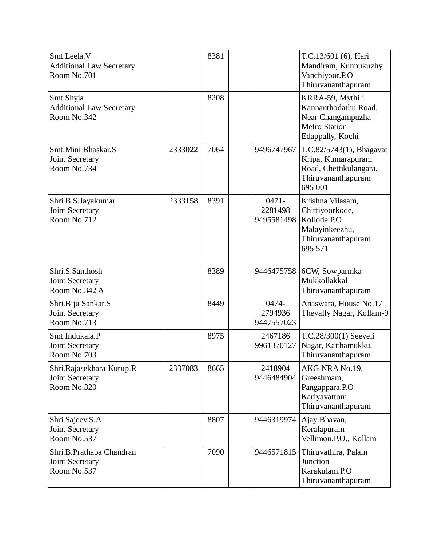| Smt.Leela.V<br><b>Additional Law Secretary</b><br>Room No.701 |         | 8381 |                                   | T.C.13/601 (6), Hari<br>Mandiram, Kunnukuzhy<br>Vanchiyoor.P.O<br>Thiruvananthapuram                      |
|---------------------------------------------------------------|---------|------|-----------------------------------|-----------------------------------------------------------------------------------------------------------|
| Smt.Shyja<br><b>Additional Law Secretary</b><br>Room No.342   |         | 8208 |                                   | KRRA-59, Mythili<br>Kannanthodathu Road,<br>Near Changampuzha<br><b>Metro Station</b><br>Edappally, Kochi |
| Smt.Mini Bhaskar.S<br>Joint Secretary<br>Room No.734          | 2333022 | 7064 | 9496747967                        | T.C.82/5743(1), Bhagavat<br>Kripa, Kumarapuram<br>Road, Chettikulangara,<br>Thiruvananthapuram<br>695 001 |
| Shri.B.S.Jayakumar<br>Joint Secretary<br>Room No.712          | 2333158 | 8391 | $0471 -$<br>2281498<br>9495581498 | Krishna Vilasam,<br>Chittiyoorkode,<br>Kollode.P.O<br>Malayinkeezhu,<br>Thiruvananthapuram<br>695 571     |
| Shri.S.Santhosh<br>Joint Secretary<br>Room No.342 A           |         | 8389 | 9446475758                        | 6CW, Sowparnika<br>Mukkollakkal<br>Thiruvananthapuram                                                     |
| Shri.Biju Sankar.S<br>Joint Secretary<br>Room No.713          |         | 8449 | 0474-<br>2794936<br>9447557023    | Anaswara, House No.17<br>Thevally Nagar, Kollam-9                                                         |
| Smt.Indukala.P<br>Joint Secretary<br>Room No.703              |         | 8975 | 2467186<br>9961370127             | T.C.28/300(1) Seeveli<br>Nagar, Kaithamukku,<br>Thiruvananthapuram                                        |
| Shri.Rajasekhara Kurup.R<br>Joint Secretary<br>Room No.320    | 2337083 | 8665 | 2418904<br>9446484904             | AKG NRA No.19,<br>Greeshmam,<br>Pangappara.P.O<br>Kariyavattom<br>Thiruvananthapuram                      |
| Shri.Sajeev.S.A<br>Joint Secretary<br>Room No.537             |         | 8807 | 9446319974                        | Ajay Bhavan,<br>Keralapuram<br>Vellimon.P.O., Kollam                                                      |
| Shri.B.Prathapa Chandran<br>Joint Secretary<br>Room No.537    |         | 7090 | 9446571815                        | Thiruvathira, Palam<br>Junction<br>Karakulam.P.O<br>Thiruvananthapuram                                    |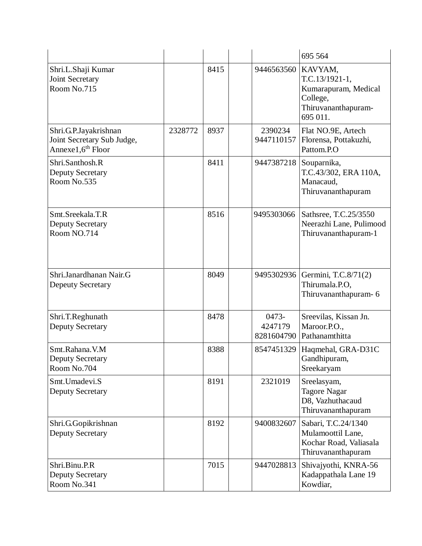|                                                                                      |         |      |                                | 695 564                                                                                            |
|--------------------------------------------------------------------------------------|---------|------|--------------------------------|----------------------------------------------------------------------------------------------------|
| Shri.L.Shaji Kumar<br><b>Joint Secretary</b><br>Room No.715                          |         | 8415 | 9446563560                     | KAVYAM,<br>$T.C.13/1921-1,$<br>Kumarapuram, Medical<br>College,<br>Thiruvananthapuram-<br>695 011. |
| Shri.G.P.Jayakrishnan<br>Joint Secretary Sub Judge,<br>Annexe1,6 <sup>th</sup> Floor | 2328772 | 8937 | 2390234<br>9447110157          | Flat NO.9E, Artech<br>Florensa, Pottakuzhi,<br>Pattom.P.O                                          |
| Shri.Santhosh.R<br><b>Deputy Secretary</b><br>Room No.535                            |         | 8411 | 9447387218                     | Souparnika,<br>T.C.43/302, ERA 110A,<br>Manacaud,<br>Thiruvananthapuram                            |
| Smt.Sreekala.T.R<br><b>Deputy Secretary</b><br>Room NO.714                           |         | 8516 | 9495303066                     | Sathsree, T.C.25/3550<br>Neerazhi Lane, Pulimood<br>Thiruvananthapuram-1                           |
| Shri.Janardhanan Nair.G<br><b>Depeuty Secretary</b>                                  |         | 8049 | 9495302936                     | Germini, T.C.8/71(2)<br>Thirumala.P.O,<br>Thiruvananthapuram-6                                     |
| Shri.T.Reghunath<br><b>Deputy Secretary</b>                                          |         | 8478 | 0473-<br>4247179<br>8281604790 | Sreevilas, Kissan Jn.<br>Maroor.P.O.,<br>Pathanamthitta                                            |
| Smt.Rahana.V.M<br><b>Deputy Secretary</b><br>Room No.704                             |         | 8388 | 8547451329                     | Haqmehal, GRA-D31C<br>Gandhipuram,<br>Sreekaryam                                                   |
| Smt.Umadevi.S<br><b>Deputy Secretary</b>                                             |         | 8191 | 2321019                        | Sreelasyam,<br><b>Tagore Nagar</b><br>D8, Vazhuthacaud<br>Thiruvananthapuram                       |
| Shri.G.Gopikrishnan<br><b>Deputy Secretary</b>                                       |         | 8192 | 9400832607                     | Sabari, T.C.24/1340<br>Mulamoottil Lane,<br>Kochar Road, Valiasala<br>Thiruvananthapuram           |
| Shri.Binu.P.R<br><b>Deputy Secretary</b><br>Room No.341                              |         | 7015 | 9447028813                     | Shivajyothi, KNRA-56<br>Kadappathala Lane 19<br>Kowdiar,                                           |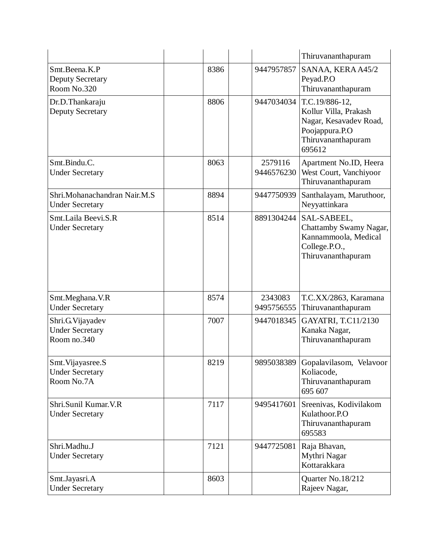|                                                            |      |                       | Thiruvananthapuram                                                                                                  |
|------------------------------------------------------------|------|-----------------------|---------------------------------------------------------------------------------------------------------------------|
| Smt.Beena.K.P<br><b>Deputy Secretary</b><br>Room No.320    | 8386 | 9447957857            | SANAA, KERA A45/2<br>Peyad.P.O<br>Thiruvananthapuram                                                                |
| Dr.D.Thankaraju<br><b>Deputy Secretary</b>                 | 8806 | 9447034034            | T.C.19/886-12,<br>Kollur Villa, Prakash<br>Nagar, Kesavadev Road,<br>Poojappura.P.O<br>Thiruvananthapuram<br>695612 |
| Smt.Bindu.C.<br><b>Under Secretary</b>                     | 8063 | 2579116<br>9446576230 | Apartment No.ID, Heera<br>West Court, Vanchiyoor<br>Thiruvananthapuram                                              |
| Shri.Mohanachandran Nair.M.S<br><b>Under Secretary</b>     | 8894 | 9447750939            | Santhalayam, Maruthoor,<br>Neyyattinkara                                                                            |
| Smt.Laila Beevi.S.R<br><b>Under Secretary</b>              | 8514 | 8891304244            | SAL-SABEEL,<br>Chattamby Swamy Nagar,<br>Kannammoola, Medical<br>College.P.O.,<br>Thiruvananthapuram                |
| Smt.Meghana.V.R<br><b>Under Secretary</b>                  | 8574 | 2343083<br>9495756555 | T.C.XX/2863, Karamana<br>Thiruvananthapuram                                                                         |
| Shri.G.Vijayadev<br><b>Under Secretary</b><br>Room no.340  | 7007 | 9447018345            | GAYATRI, T.C11/2130<br>Kanaka Nagar,<br>Thiruvananthapuram                                                          |
| Smt. Vijayasree. S<br><b>Under Secretary</b><br>Room No.7A | 8219 | 9895038389            | Gopalavilasom, Velavoor<br>Koliacode,<br>Thiruvananthapuram<br>695 607                                              |
| Shri.Sunil Kumar.V.R<br><b>Under Secretary</b>             | 7117 | 9495417601            | Sreenivas, Kodivilakom<br>Kulathoor.P.O<br>Thiruvananthapuram<br>695583                                             |
| Shri.Madhu.J<br><b>Under Secretary</b>                     | 7121 | 9447725081            | Raja Bhavan,<br>Mythri Nagar<br>Kottarakkara                                                                        |
| Smt.Jayasri.A<br><b>Under Secretary</b>                    | 8603 |                       | Quarter No.18/212<br>Rajeev Nagar,                                                                                  |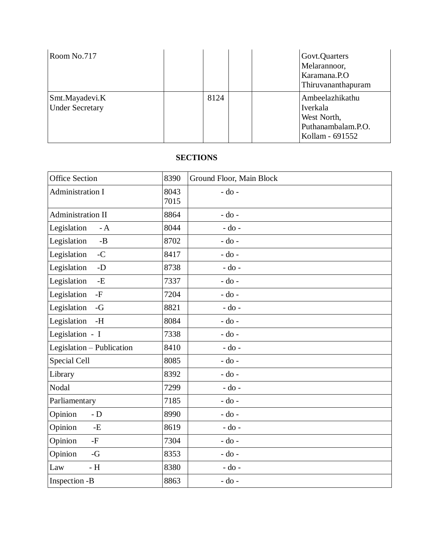| Room No.717                              |      | Govt.Quarters<br>Melarannoor,<br>Karamana.P.O<br>Thiruvananthapuram                 |
|------------------------------------------|------|-------------------------------------------------------------------------------------|
| Smt.Mayadevi.K<br><b>Under Secretary</b> | 8124 | Ambeelazhikathu<br>Iverkala<br>West North,<br>Puthanambalam.P.O.<br>Kollam - 691552 |

## **SECTIONS**

| <b>Office Section</b>         | 8390         | Ground Floor, Main Block |
|-------------------------------|--------------|--------------------------|
| <b>Administration I</b>       | 8043<br>7015 | $-do$ -                  |
| Administration II             | 8864         | $-do$ -                  |
| Legislation<br>$- A$          | 8044         | $-do$ -                  |
| Legislation<br>$-B$           | 8702         | $-do$ -                  |
| Legislation<br>$-C$           | 8417         | $-do$ -                  |
| Legislation<br>$-D$           | 8738         | $-do$ -                  |
| Legislation<br>$\mathbf{-E}$  | 7337         | $-do$ -                  |
| Legislation<br>$-F$           | 7204         | $-$ do $-$               |
| Legislation<br>$-G$           | 8821         | $-do$ -                  |
| Legislation<br>$\mathbf{-H}$  | 8084         | $-$ do $-$               |
| Legislation - I               | 7338         | $-$ do $-$               |
| Legislation - Publication     | 8410         | $-do$ -                  |
| Special Cell                  | 8085         | $-$ do $-$               |
| Library                       | 8392         | $-do$ -                  |
| Nodal                         | 7299         | $-do$ -                  |
| Parliamentary                 | 7185         | $-$ do $-$               |
| Opinion<br>- ${\bf D}$        | 8990         | $-$ do $-$               |
| Opinion<br>$-E$               | 8619         | $-do$ -                  |
| Opinion<br>$\mbox{-} {\rm F}$ | 7304         | $-do$ -                  |
| Opinion<br>$-G$               | 8353         | - do -                   |
| $- H$<br>Law                  | 8380         | $-do$ -                  |
| Inspection -B                 | 8863         | $-do$ -                  |